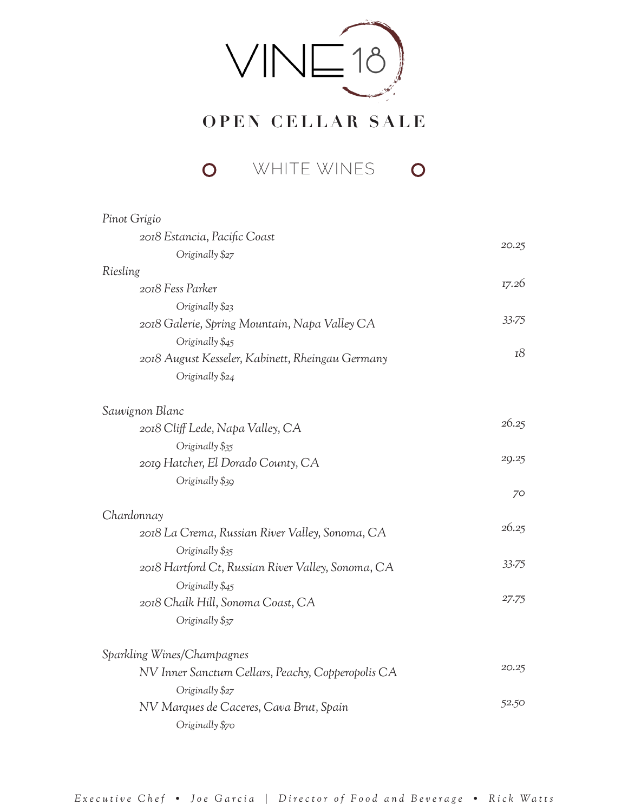

## **OPEN CELLAR SALE**

**O** WHITE WINES  $\overline{O}$ 

| 20.25 |
|-------|
|       |
| 17.26 |
|       |
| 33.75 |
|       |
| 18    |
|       |
|       |
| 26.25 |
|       |
| 29.25 |
| 70    |
|       |
| 26.25 |
|       |
| 33.75 |
|       |
| 27.75 |
|       |
|       |
| 20.25 |
|       |
| 52.50 |
|       |
|       |